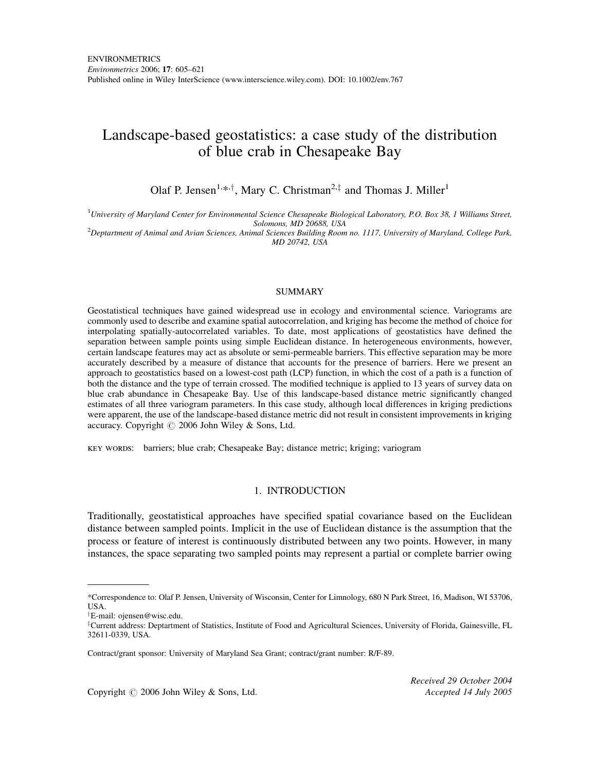# Landscape-based geostatistics: a case study of the distribution of blue crab in Chesapeake Bay

Olaf P. Jensen<sup>1,\*\*</sup>, Mary C. Christman<sup>2, $\ddagger$ </sup> and Thomas J. Miller<sup>1</sup>

<sup>1</sup>University of Maryland Center for Environmental Science Chesapeake Biological Laboratory, P.O. Box 38, 1 Williams Street,

Solomons, MD 20688, USA<br><sup>2</sup>Deptartment of Animal and Avian Sciences, Animal Sciences Building Room no. 1117, University of Maryland, College Park, MD 20742, USA

# SUMMARY

Geostatistical techniques have gained widespread use in ecology and environmental science. Variograms are commonly used to describe and examine spatial autocorrelation, and kriging has become the method of choice for interpolating spatially-autocorrelated variables. To date, most applications of geostatistics have defined the separation between sample points using simple Euclidean distance. In heterogeneous environments, however, certain landscape features may act as absolute or semi-permeable barriers. This effective separation may be more accurately described by a measure of distance that accounts for the presence of barriers. Here we present an approach to geostatistics based on a lowest-cost path (LCP) function, in which the cost of a path is a function of both the distance and the type of terrain crossed. The modified technique is applied to 13 years of survey data on blue crab abundance in Chesapeake Bay. Use of this landscape-based distance metric significantly changed estimates of all three variogram parameters. In this case study, although local differences in kriging predictions were apparent, the use of the landscape-based distance metric did not result in consistent improvements in kriging accuracy. Copyright  $\odot$  2006 John Wiley & Sons, Ltd.

key words: barriers; blue crab; Chesapeake Bay; distance metric; kriging; variogram

## 1. INTRODUCTION

Traditionally, geostatistical approaches have specified spatial covariance based on the Euclidean distance between sampled points. Implicit in the use of Euclidean distance is the assumption that the process or feature of interest is continuously distributed between any two points. However, in many instances, the space separating two sampled points may represent a partial or complete barrier owing

Copyright  $\odot$  2006 John Wiley & Sons, Ltd. Accepted 14 July 2005

<sup>\*</sup>Correspondence to: Olaf P. Jensen, University of Wisconsin, Center for Limnology, 680 N Park Street, 16, Madison, WI 53706, USA.

<sup>&</sup>lt;sup>†</sup>E-mail: ojensen@wisc.edu.

<sup>&</sup>lt;sup>‡</sup>Current address: Deptartment of Statistics, Institute of Food and Agricultural Sciences, University of Florida, Gainesville, FL 32611-0339, USA.

Contract/grant sponsor: University of Maryland Sea Grant; contract/grant number: R/F-89.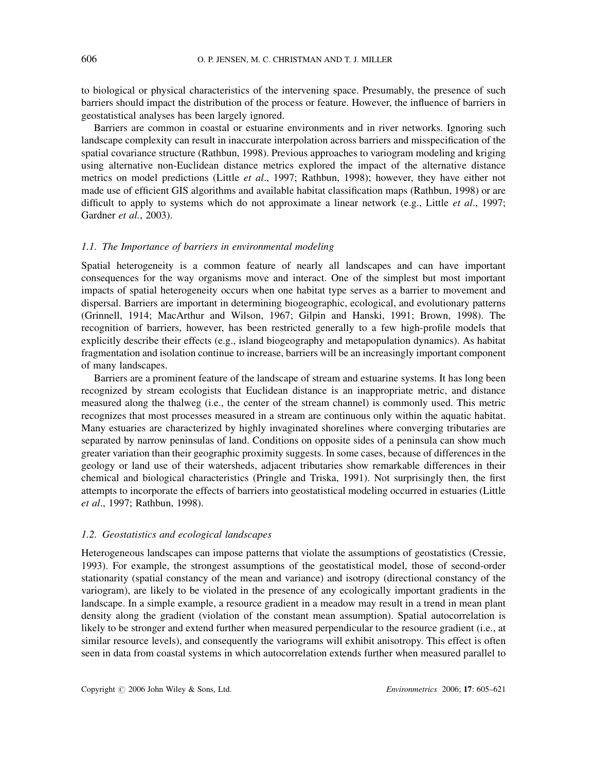to biological or physical characteristics of the intervening space. Presumably, the presence of such barriers should impact the distribution of the process or feature. However, the influence of barriers in geostatistical analyses has been largely ignored.

Barriers are common in coastal or estuarine environments and in river networks. Ignoring such landscape complexity can result in inaccurate interpolation across barriers and misspecification of the spatial covariance structure (Rathbun, 1998). Previous approaches to variogram modeling and kriging using alternative non-Euclidean distance metrics explored the impact of the alternative distance metrics on model predictions (Little et al., 1997; Rathbun, 1998); however, they have either not made use of efficient GIS algorithms and available habitat classification maps (Rathbun, 1998) or are difficult to apply to systems which do not approximate a linear network (e.g., Little *et al.*, 1997; Gardner et al., 2003).

## 1.1. The Importance of barriers in environmental modeling

Spatial heterogeneity is a common feature of nearly all landscapes and can have important consequences for the way organisms move and interact. One of the simplest but most important impacts of spatial heterogeneity occurs when one habitat type serves as a barrier to movement and dispersal. Barriers are important in determining biogeographic, ecological, and evolutionary patterns (Grinnell, 1914; MacArthur and Wilson, 1967; Gilpin and Hanski, 1991; Brown, 1998). The recognition of barriers, however, has been restricted generally to a few high-profile models that explicitly describe their effects (e.g., island biogeography and metapopulation dynamics). As habitat fragmentation and isolation continue to increase, barriers will be an increasingly important component of many landscapes.

Barriers are a prominent feature of the landscape of stream and estuarine systems. It has long been recognized by stream ecologists that Euclidean distance is an inappropriate metric, and distance measured along the thalweg (i.e., the center of the stream channel) is commonly used. This metric recognizes that most processes measured in a stream are continuous only within the aquatic habitat. Many estuaries are characterized by highly invaginated shorelines where converging tributaries are separated by narrow peninsulas of land. Conditions on opposite sides of a peninsula can show much greater variation than their geographic proximity suggests. In some cases, because of differences in the geology or land use of their watersheds, adjacent tributaries show remarkable differences in their chemical and biological characteristics (Pringle and Triska, 1991). Not surprisingly then, the first attempts to incorporate the effects of barriers into geostatistical modeling occurred in estuaries (Little et al., 1997; Rathbun, 1998).

## 1.2. Geostatistics and ecological landscapes

Heterogeneous landscapes can impose patterns that violate the assumptions of geostatistics (Cressie, 1993). For example, the strongest assumptions of the geostatistical model, those of second-order stationarity (spatial constancy of the mean and variance) and isotropy (directional constancy of the variogram), are likely to be violated in the presence of any ecologically important gradients in the landscape. In a simple example, a resource gradient in a meadow may result in a trend in mean plant density along the gradient (violation of the constant mean assumption). Spatial autocorrelation is likely to be stronger and extend further when measured perpendicular to the resource gradient (i.e., at similar resource levels), and consequently the variograms will exhibit anisotropy. This effect is often seen in data from coastal systems in which autocorrelation extends further when measured parallel to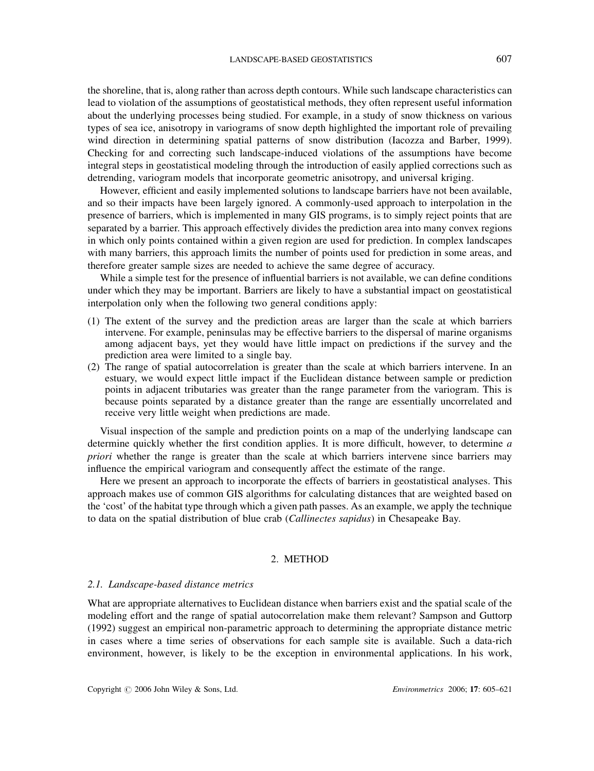the shoreline, that is, along rather than across depth contours. While such landscape characteristics can lead to violation of the assumptions of geostatistical methods, they often represent useful information about the underlying processes being studied. For example, in a study of snow thickness on various types of sea ice, anisotropy in variograms of snow depth highlighted the important role of prevailing wind direction in determining spatial patterns of snow distribution (Iacozza and Barber, 1999). Checking for and correcting such landscape-induced violations of the assumptions have become integral steps in geostatistical modeling through the introduction of easily applied corrections such as detrending, variogram models that incorporate geometric anisotropy, and universal kriging.

However, efficient and easily implemented solutions to landscape barriers have not been available, and so their impacts have been largely ignored. A commonly-used approach to interpolation in the presence of barriers, which is implemented in many GIS programs, is to simply reject points that are separated by a barrier. This approach effectively divides the prediction area into many convex regions in which only points contained within a given region are used for prediction. In complex landscapes with many barriers, this approach limits the number of points used for prediction in some areas, and therefore greater sample sizes are needed to achieve the same degree of accuracy.

While a simple test for the presence of influential barriers is not available, we can define conditions under which they may be important. Barriers are likely to have a substantial impact on geostatistical interpolation only when the following two general conditions apply:

- (1) The extent of the survey and the prediction areas are larger than the scale at which barriers intervene. For example, peninsulas may be effective barriers to the dispersal of marine organisms among adjacent bays, yet they would have little impact on predictions if the survey and the prediction area were limited to a single bay.
- (2) The range of spatial autocorrelation is greater than the scale at which barriers intervene. In an estuary, we would expect little impact if the Euclidean distance between sample or prediction points in adjacent tributaries was greater than the range parameter from the variogram. This is because points separated by a distance greater than the range are essentially uncorrelated and receive very little weight when predictions are made.

Visual inspection of the sample and prediction points on a map of the underlying landscape can determine quickly whether the first condition applies. It is more difficult, however, to determine a priori whether the range is greater than the scale at which barriers intervene since barriers may influence the empirical variogram and consequently affect the estimate of the range.

Here we present an approach to incorporate the effects of barriers in geostatistical analyses. This approach makes use of common GIS algorithms for calculating distances that are weighted based on the 'cost' of the habitat type through which a given path passes. As an example, we apply the technique to data on the spatial distribution of blue crab (Callinectes sapidus) in Chesapeake Bay.

## 2. METHOD

## 2.1. Landscape-based distance metrics

What are appropriate alternatives to Euclidean distance when barriers exist and the spatial scale of the modeling effort and the range of spatial autocorrelation make them relevant? Sampson and Guttorp (1992) suggest an empirical non-parametric approach to determining the appropriate distance metric in cases where a time series of observations for each sample site is available. Such a data-rich environment, however, is likely to be the exception in environmental applications. In his work,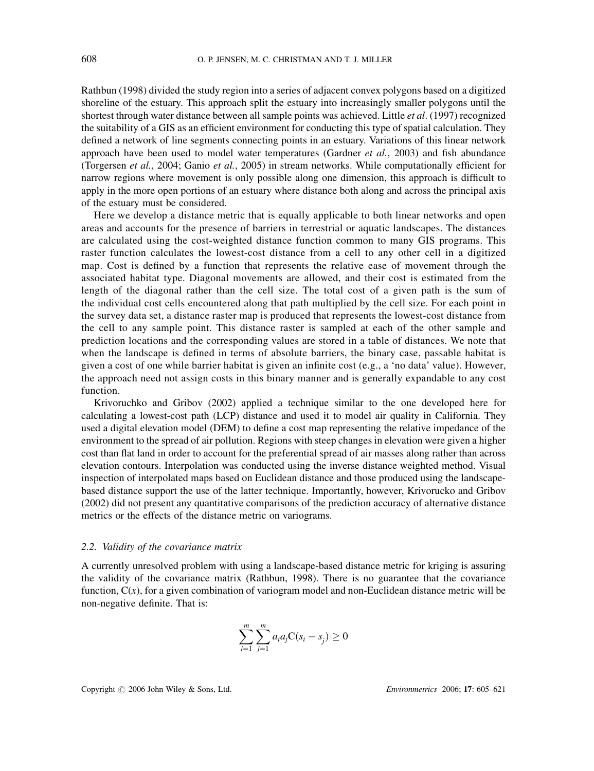Rathbun (1998) divided the study region into a series of adjacent convex polygons based on a digitized shoreline of the estuary. This approach split the estuary into increasingly smaller polygons until the shortest through water distance between all sample points was achieved. Little *et al.* (1997) recognized the suitability of a GIS as an efficient environment for conducting this type of spatial calculation. They defined a network of line segments connecting points in an estuary. Variations of this linear network approach have been used to model water temperatures (Gardner  $et$  al., 2003) and fish abundance (Torgersen et al., 2004; Ganio et al., 2005) in stream networks. While computationally efficient for narrow regions where movement is only possible along one dimension, this approach is difficult to apply in the more open portions of an estuary where distance both along and across the principal axis of the estuary must be considered.

Here we develop a distance metric that is equally applicable to both linear networks and open areas and accounts for the presence of barriers in terrestrial or aquatic landscapes. The distances are calculated using the cost-weighted distance function common to many GIS programs. This raster function calculates the lowest-cost distance from a cell to any other cell in a digitized map. Cost is defined by a function that represents the relative ease of movement through the associated habitat type. Diagonal movements are allowed, and their cost is estimated from the length of the diagonal rather than the cell size. The total cost of a given path is the sum of the individual cost cells encountered along that path multiplied by the cell size. For each point in the survey data set, a distance raster map is produced that represents the lowest-cost distance from the cell to any sample point. This distance raster is sampled at each of the other sample and prediction locations and the corresponding values are stored in a table of distances. We note that when the landscape is defined in terms of absolute barriers, the binary case, passable habitat is given a cost of one while barrier habitat is given an infinite cost (e.g., a 'no data' value). However, the approach need not assign costs in this binary manner and is generally expandable to any cost function.

Krivoruchko and Gribov (2002) applied a technique similar to the one developed here for calculating a lowest-cost path (LCP) distance and used it to model air quality in California. They used a digital elevation model (DEM) to define a cost map representing the relative impedance of the environment to the spread of air pollution. Regions with steep changes in elevation were given a higher cost than flat land in order to account for the preferential spread of air masses along rather than across elevation contours. Interpolation was conducted using the inverse distance weighted method. Visual inspection of interpolated maps based on Euclidean distance and those produced using the landscapebased distance support the use of the latter technique. Importantly, however, Krivorucko and Gribov (2002) did not present any quantitative comparisons of the prediction accuracy of alternative distance metrics or the effects of the distance metric on variograms.

## 2.2. Validity of the covariance matrix

A currently unresolved problem with using a landscape-based distance metric for kriging is assuring the validity of the covariance matrix (Rathbun, 1998). There is no guarantee that the covariance function,  $C(x)$ , for a given combination of variogram model and non-Euclidean distance metric will be non-negative definite. That is:

$$
\sum_{i=1}^{m} \sum_{j=1}^{m} a_i a_j C(s_i - s_j) \ge 0
$$

Copyright  $\odot$  2006 John Wiley & Sons, Ltd. Environmetrics 2006; 17: 605–621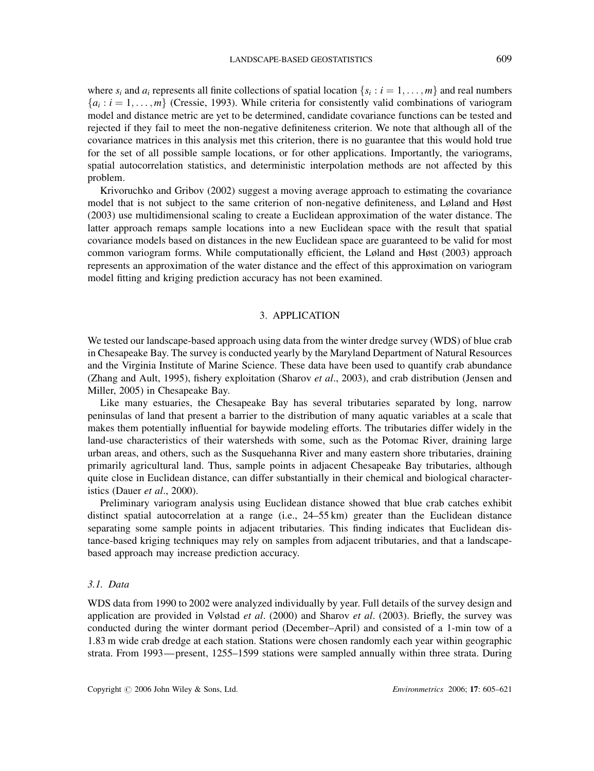where  $s_i$  and  $a_i$  represents all finite collections of spatial location  $\{s_i : i = 1, \ldots, m\}$  and real numbers  ${a_i : i = 1, \ldots, m}$  (Cressie, 1993). While criteria for consistently valid combinations of variogram model and distance metric are yet to be determined, candidate covariance functions can be tested and

rejected if they fail to meet the non-negative definiteness criterion. We note that although all of the covariance matrices in this analysis met this criterion, there is no guarantee that this would hold true for the set of all possible sample locations, or for other applications. Importantly, the variograms, spatial autocorrelation statistics, and deterministic interpolation methods are not affected by this problem.

Krivoruchko and Gribov (2002) suggest a moving average approach to estimating the covariance model that is not subject to the same criterion of non-negative definiteness, and Løland and Høst (2003) use multidimensional scaling to create a Euclidean approximation of the water distance. The latter approach remaps sample locations into a new Euclidean space with the result that spatial covariance models based on distances in the new Euclidean space are guaranteed to be valid for most common variogram forms. While computationally efficient, the Løland and Høst (2003) approach represents an approximation of the water distance and the effect of this approximation on variogram model fitting and kriging prediction accuracy has not been examined.

### 3. APPLICATION

We tested our landscape-based approach using data from the winter dredge survey (WDS) of blue crab in Chesapeake Bay. The survey is conducted yearly by the Maryland Department of Natural Resources and the Virginia Institute of Marine Science. These data have been used to quantify crab abundance (Zhang and Ault, 1995), fishery exploitation (Sharov et al., 2003), and crab distribution (Jensen and Miller, 2005) in Chesapeake Bay.

Like many estuaries, the Chesapeake Bay has several tributaries separated by long, narrow peninsulas of land that present a barrier to the distribution of many aquatic variables at a scale that makes them potentially influential for baywide modeling efforts. The tributaries differ widely in the land-use characteristics of their watersheds with some, such as the Potomac River, draining large urban areas, and others, such as the Susquehanna River and many eastern shore tributaries, draining primarily agricultural land. Thus, sample points in adjacent Chesapeake Bay tributaries, although quite close in Euclidean distance, can differ substantially in their chemical and biological characteristics (Dauer et al., 2000).

Preliminary variogram analysis using Euclidean distance showed that blue crab catches exhibit distinct spatial autocorrelation at a range (i.e., 24–55 km) greater than the Euclidean distance separating some sample points in adjacent tributaries. This finding indicates that Euclidean distance-based kriging techniques may rely on samples from adjacent tributaries, and that a landscapebased approach may increase prediction accuracy.

## 3.1. Data

WDS data from 1990 to 2002 were analyzed individually by year. Full details of the survey design and application are provided in Vølstad et al. (2000) and Sharov et al. (2003). Briefly, the survey was conducted during the winter dormant period (December–April) and consisted of a 1-min tow of a 1.83 m wide crab dredge at each station. Stations were chosen randomly each year within geographic strata. From 1993—present, 1255–1599 stations were sampled annually within three strata. During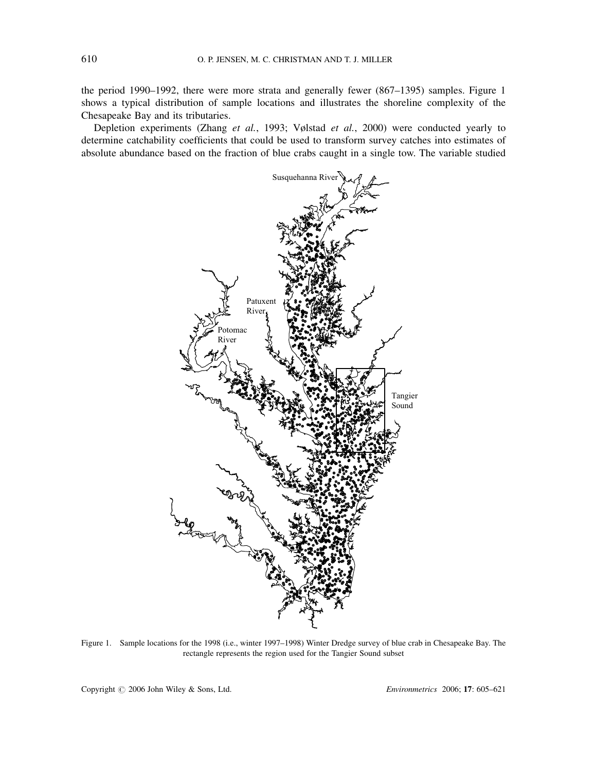the period 1990–1992, there were more strata and generally fewer (867–1395) samples. Figure 1 shows a typical distribution of sample locations and illustrates the shoreline complexity of the Chesapeake Bay and its tributaries.

Depletion experiments (Zhang et al., 1993; Vølstad et al., 2000) were conducted yearly to determine catchability coefficients that could be used to transform survey catches into estimates of absolute abundance based on the fraction of blue crabs caught in a single tow. The variable studied



Figure 1. Sample locations for the 1998 (i.e., winter 1997–1998) Winter Dredge survey of blue crab in Chesapeake Bay. The rectangle represents the region used for the Tangier Sound subset

Copyright  $\odot$  2006 John Wiley & Sons, Ltd. Environmetrics 2006; 17: 605–621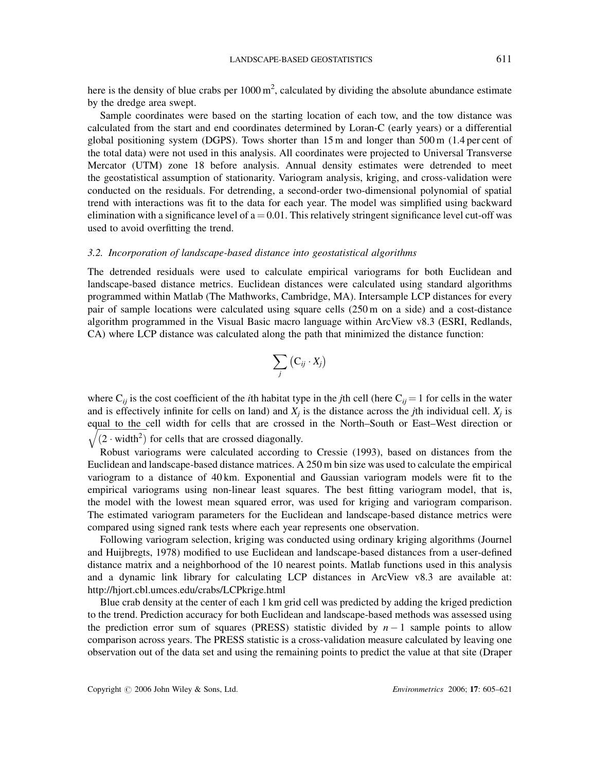here is the density of blue crabs per  $1000 \,\mathrm{m}^2$ , calculated by dividing the absolute abundance estimate by the dredge area swept.

Sample coordinates were based on the starting location of each tow, and the tow distance was calculated from the start and end coordinates determined by Loran-C (early years) or a differential global positioning system (DGPS). Tows shorter than 15 m and longer than 500 m (1.4 per cent of the total data) were not used in this analysis. All coordinates were projected to Universal Transverse Mercator (UTM) zone 18 before analysis. Annual density estimates were detrended to meet the geostatistical assumption of stationarity. Variogram analysis, kriging, and cross-validation were conducted on the residuals. For detrending, a second-order two-dimensional polynomial of spatial trend with interactions was fit to the data for each year. The model was simplified using backward elimination with a significance level of  $a = 0.01$ . This relatively stringent significance level cut-off was used to avoid overfitting the trend.

## 3.2. Incorporation of landscape-based distance into geostatistical algorithms

The detrended residuals were used to calculate empirical variograms for both Euclidean and landscape-based distance metrics. Euclidean distances were calculated using standard algorithms programmed within Matlab (The Mathworks, Cambridge, MA). Intersample LCP distances for every pair of sample locations were calculated using square cells (250 m on a side) and a cost-distance algorithm programmed in the Visual Basic macro language within ArcView v8.3 (ESRI, Redlands, CA) where LCP distance was calculated along the path that minimized the distance function:

$$
\sum_j (C_{ij} \cdot X_j)
$$

where  $C_{ij}$  is the cost coefficient of the *i*th habitat type in the *j*th cell (here  $C_{ij} = 1$  for cells in the water and is effectively infinite for cells on land) and  $X_i$  is the distance across the *j*th individual cell.  $X_i$  is equal to the cell width for cells that are crossed in the North–South or East–West direction or

 $\sqrt{(2 \cdot \text{width}^2)}$  for cells that are crossed diagonally.

Þ Robust variograms were calculated according to Cressie (1993), based on distances from the Euclidean and landscape-based distance matrices. A 250 m bin size was used to calculate the empirical variogram to a distance of 40 km. Exponential and Gaussian variogram models were fit to the empirical variograms using non-linear least squares. The best fitting variogram model, that is, the model with the lowest mean squared error, was used for kriging and variogram comparison. The estimated variogram parameters for the Euclidean and landscape-based distance metrics were compared using signed rank tests where each year represents one observation.

Following variogram selection, kriging was conducted using ordinary kriging algorithms (Journel and Huijbregts, 1978) modified to use Euclidean and landscape-based distances from a user-defined distance matrix and a neighborhood of the 10 nearest points. Matlab functions used in this analysis and a dynamic link library for calculating LCP distances in ArcView v8.3 are available at: http://hjort.cbl.umces.edu/crabs/LCPkrige.html

Blue crab density at the center of each 1 km grid cell was predicted by adding the kriged prediction to the trend. Prediction accuracy for both Euclidean and landscape-based methods was assessed using the prediction error sum of squares (PRESS) statistic divided by  $n - 1$  sample points to allow comparison across years. The PRESS statistic is a cross-validation measure calculated by leaving one observation out of the data set and using the remaining points to predict the value at that site (Draper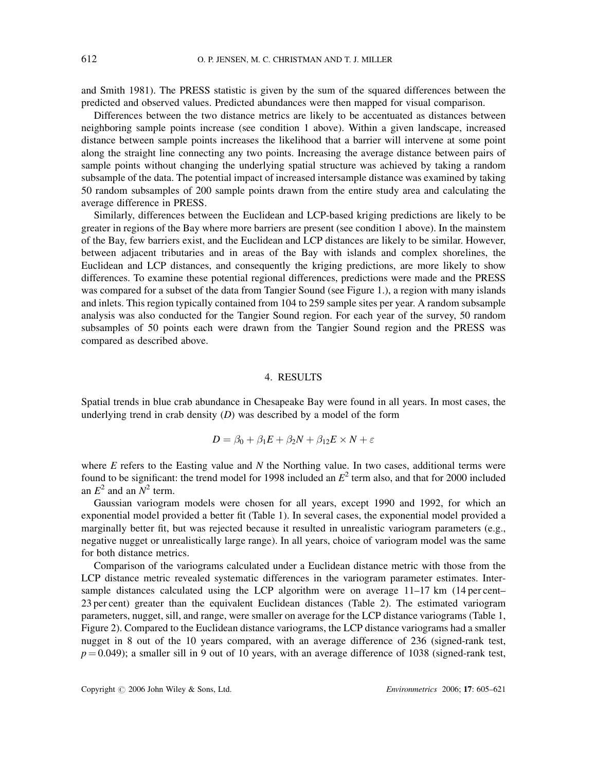and Smith 1981). The PRESS statistic is given by the sum of the squared differences between the predicted and observed values. Predicted abundances were then mapped for visual comparison.

Differences between the two distance metrics are likely to be accentuated as distances between neighboring sample points increase (see condition 1 above). Within a given landscape, increased distance between sample points increases the likelihood that a barrier will intervene at some point along the straight line connecting any two points. Increasing the average distance between pairs of sample points without changing the underlying spatial structure was achieved by taking a random subsample of the data. The potential impact of increased intersample distance was examined by taking 50 random subsamples of 200 sample points drawn from the entire study area and calculating the average difference in PRESS.

Similarly, differences between the Euclidean and LCP-based kriging predictions are likely to be greater in regions of the Bay where more barriers are present (see condition 1 above). In the mainstem of the Bay, few barriers exist, and the Euclidean and LCP distances are likely to be similar. However, between adjacent tributaries and in areas of the Bay with islands and complex shorelines, the Euclidean and LCP distances, and consequently the kriging predictions, are more likely to show differences. To examine these potential regional differences, predictions were made and the PRESS was compared for a subset of the data from Tangier Sound (see Figure 1.), a region with many islands and inlets. This region typically contained from 104 to 259 sample sites per year. A random subsample analysis was also conducted for the Tangier Sound region. For each year of the survey, 50 random subsamples of 50 points each were drawn from the Tangier Sound region and the PRESS was compared as described above.

## 4. RESULTS

Spatial trends in blue crab abundance in Chesapeake Bay were found in all years. In most cases, the underlying trend in crab density  $(D)$  was described by a model of the form

$$
D = \beta_0 + \beta_1 E + \beta_2 N + \beta_{12} E \times N + \varepsilon
$$

where  $E$  refers to the Easting value and  $N$  the Northing value. In two cases, additional terms were found to be significant: the trend model for 1998 included an  $E<sup>2</sup>$  term also, and that for 2000 included an  $E^2$  and an  $N^2$  term.

Gaussian variogram models were chosen for all years, except 1990 and 1992, for which an exponential model provided a better fit (Table 1). In several cases, the exponential model provided a marginally better fit, but was rejected because it resulted in unrealistic variogram parameters (e.g., negative nugget or unrealistically large range). In all years, choice of variogram model was the same for both distance metrics.

Comparison of the variograms calculated under a Euclidean distance metric with those from the LCP distance metric revealed systematic differences in the variogram parameter estimates. Intersample distances calculated using the LCP algorithm were on average  $11-17$  km  $(14$  per cent– 23 per cent) greater than the equivalent Euclidean distances (Table 2). The estimated variogram parameters, nugget, sill, and range, were smaller on average for the LCP distance variograms (Table 1, Figure 2). Compared to the Euclidean distance variograms, the LCP distance variograms had a smaller nugget in 8 out of the 10 years compared, with an average difference of 236 (signed-rank test,  $p = 0.049$ ); a smaller sill in 9 out of 10 years, with an average difference of 1038 (signed-rank test,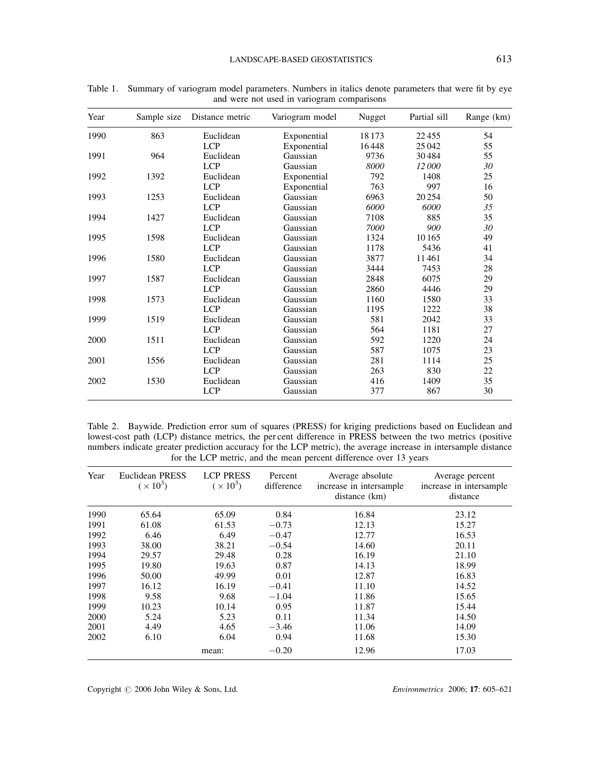| Year | Sample size | Distance metric | Variogram model | Nugget  | Partial sill | Range (km) |
|------|-------------|-----------------|-----------------|---------|--------------|------------|
| 1990 | 863         | Euclidean       | Exponential     | 18 17 3 | 22455        | 54         |
|      |             | <b>LCP</b>      | Exponential     | 16448   | 25042        | 55         |
| 1991 | 964         | Euclidean       | Gaussian        | 9736    | 30484        | 55         |
|      |             | <b>LCP</b>      | Gaussian        | 8000    | 12000        | 30         |
| 1992 | 1392        | Euclidean       | Exponential     | 792     | 1408         | 25         |
|      |             | <b>LCP</b>      | Exponential     | 763     | 997          | 16         |
| 1993 | 1253        | Euclidean       | Gaussian        | 6963    | 20254        | 50         |
|      |             | <b>LCP</b>      | Gaussian        | 6000    | 6000         | 35         |
| 1994 | 1427        | Euclidean       | Gaussian        | 7108    | 885          | 35         |
|      |             | <b>LCP</b>      | Gaussian        | 7000    | 900          | 30         |
| 1995 | 1598        | Euclidean       | Gaussian        | 1324    | 10165        | 49         |
|      |             | <b>LCP</b>      | Gaussian        | 1178    | 5436         | 41         |
| 1996 | 1580        | Euclidean       | Gaussian        | 3877    | 11461        | 34         |
|      |             | <b>LCP</b>      | Gaussian        | 3444    | 7453         | 28         |
| 1997 | 1587        | Euclidean       | Gaussian        | 2848    | 6075         | 29         |
|      |             | <b>LCP</b>      | Gaussian        | 2860    | 4446         | 29         |
| 1998 | 1573        | Euclidean       | Gaussian        | 1160    | 1580         | 33         |
|      |             | <b>LCP</b>      | Gaussian        | 1195    | 1222         | 38         |
| 1999 | 1519        | Euclidean       | Gaussian        | 581     | 2042         | 33         |
|      |             | <b>LCP</b>      | Gaussian        | 564     | 1181         | 27         |
| 2000 | 1511        | Euclidean       | Gaussian        | 592     | 1220         | 24         |
|      |             | LCP             | Gaussian        | 587     | 1075         | 23         |
| 2001 | 1556        | Euclidean       | Gaussian        | 281     | 1114         | 25         |
|      |             | <b>LCP</b>      | Gaussian        | 263     | 830          | 22         |
| 2002 | 1530        | Euclidean       | Gaussian        | 416     | 1409         | 35         |
|      |             | <b>LCP</b>      | Gaussian        | 377     | 867          | 30         |

Table 1. Summary of variogram model parameters. Numbers in italics denote parameters that were fit by eye and were not used in variogram comparisons

Table 2. Baywide. Prediction error sum of squares (PRESS) for kriging predictions based on Euclidean and lowest-cost path (LCP) distance metrics, the per cent difference in PRESS between the two metrics (positive numbers indicate greater prediction accuracy for the LCP metric), the average increase in intersample distance for the LCP metric, and the mean percent difference over 13 years

| Year | Euclidean PRESS<br>$(\times 10^3)$ | <b>LCP PRESS</b><br>$(\times 10^3)$ | Percent<br>difference | Average absolute<br>increase in intersample<br>distance (km) | Average percent<br>increase in intersample.<br>distance |
|------|------------------------------------|-------------------------------------|-----------------------|--------------------------------------------------------------|---------------------------------------------------------|
| 1990 | 65.64                              | 65.09                               | 0.84                  | 16.84                                                        | 23.12                                                   |
| 1991 | 61.08                              | 61.53                               | $-0.73$               | 12.13                                                        | 15.27                                                   |
| 1992 | 6.46                               | 6.49                                | $-0.47$               | 12.77                                                        | 16.53                                                   |
| 1993 | 38.00                              | 38.21                               | $-0.54$               | 14.60                                                        | 20.11                                                   |
| 1994 | 29.57                              | 29.48                               | 0.28                  | 16.19                                                        | 21.10                                                   |
| 1995 | 19.80                              | 19.63                               | 0.87                  | 14.13                                                        | 18.99                                                   |
| 1996 | 50.00                              | 49.99                               | 0.01                  | 12.87                                                        | 16.83                                                   |
| 1997 | 16.12                              | 16.19                               | $-0.41$               | 11.10                                                        | 14.52                                                   |
| 1998 | 9.58                               | 9.68                                | $-1.04$               | 11.86                                                        | 15.65                                                   |
| 1999 | 10.23                              | 10.14                               | 0.95                  | 11.87                                                        | 15.44                                                   |
| 2000 | 5.24                               | 5.23                                | 0.11                  | 11.34                                                        | 14.50                                                   |
| 2001 | 4.49                               | 4.65                                | $-3.46$               | 11.06                                                        | 14.09                                                   |
| 2002 | 6.10                               | 6.04                                | 0.94                  | 11.68                                                        | 15.30                                                   |
|      |                                    | mean:                               | $-0.20$               | 12.96                                                        | 17.03                                                   |

Copyright  $\odot$  2006 John Wiley & Sons, Ltd. Environmetrics 2006; 17: 605–621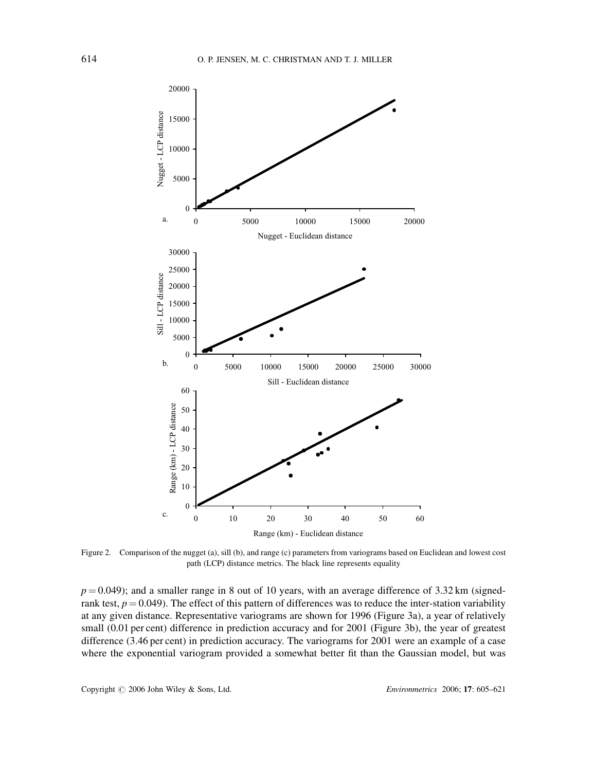

Figure 2. Comparison of the nugget (a), sill (b), and range (c) parameters from variograms based on Euclidean and lowest cost path (LCP) distance metrics. The black line represents equality

 $p = 0.049$ ); and a smaller range in 8 out of 10 years, with an average difference of 3.32 km (signedrank test,  $p = 0.049$ ). The effect of this pattern of differences was to reduce the inter-station variability at any given distance. Representative variograms are shown for 1996 (Figure 3a), a year of relatively small (0.01 per cent) difference in prediction accuracy and for 2001 (Figure 3b), the year of greatest difference (3.46 per cent) in prediction accuracy. The variograms for 2001 were an example of a case where the exponential variogram provided a somewhat better fit than the Gaussian model, but was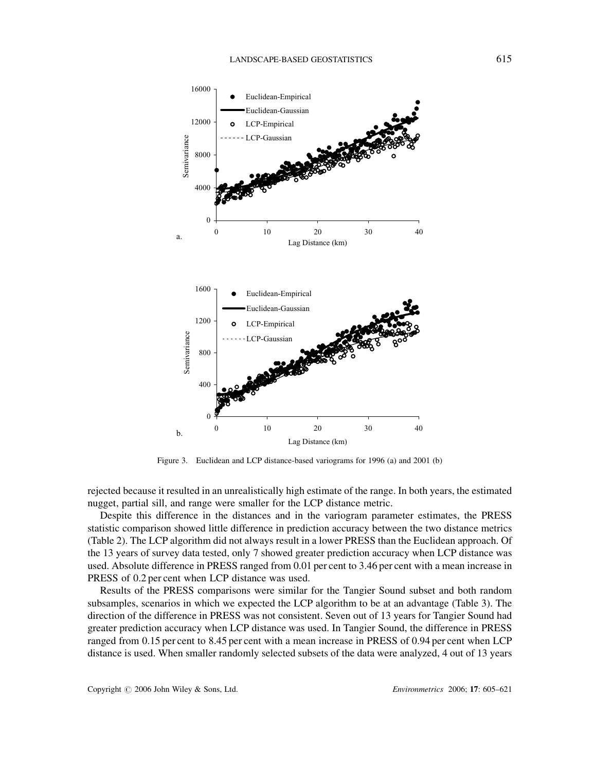

Figure 3. Euclidean and LCP distance-based variograms for 1996 (a) and 2001 (b)

rejected because it resulted in an unrealistically high estimate of the range. In both years, the estimated nugget, partial sill, and range were smaller for the LCP distance metric.

Despite this difference in the distances and in the variogram parameter estimates, the PRESS statistic comparison showed little difference in prediction accuracy between the two distance metrics (Table 2). The LCP algorithm did not always result in a lower PRESS than the Euclidean approach. Of the 13 years of survey data tested, only 7 showed greater prediction accuracy when LCP distance was used. Absolute difference in PRESS ranged from 0.01 per cent to 3.46 per cent with a mean increase in PRESS of 0.2 per cent when LCP distance was used.

Results of the PRESS comparisons were similar for the Tangier Sound subset and both random subsamples, scenarios in which we expected the LCP algorithm to be at an advantage (Table 3). The direction of the difference in PRESS was not consistent. Seven out of 13 years for Tangier Sound had greater prediction accuracy when LCP distance was used. In Tangier Sound, the difference in PRESS ranged from 0.15 per cent to 8.45 per cent with a mean increase in PRESS of 0.94 per cent when LCP distance is used. When smaller randomly selected subsets of the data were analyzed, 4 out of 13 years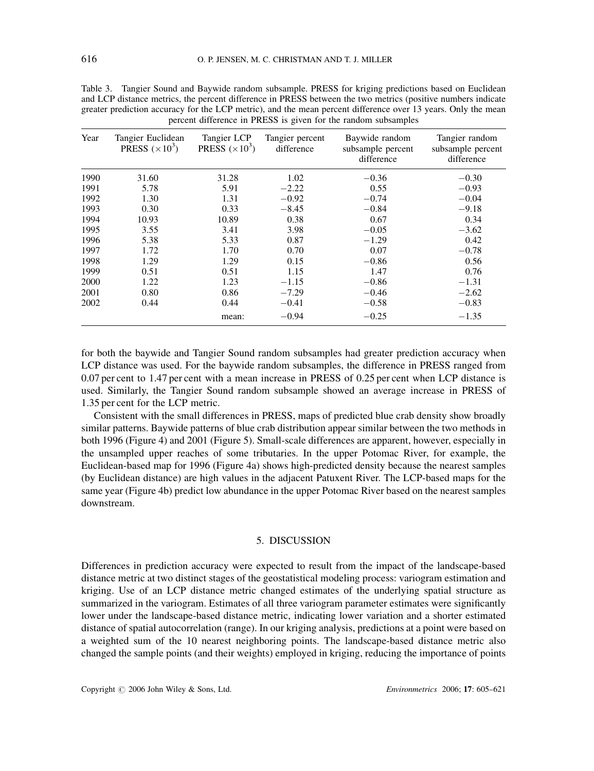| Year | Tangier Euclidean<br>PRESS $(\times 10^3)$ | Tangier LCP<br>PRESS $(\times 10^3)$ | Tangier percent<br>difference | Baywide random<br>subsample percent<br>difference | Tangier random<br>subsample percent<br>difference |
|------|--------------------------------------------|--------------------------------------|-------------------------------|---------------------------------------------------|---------------------------------------------------|
| 1990 | 31.60                                      | 31.28                                | 1.02                          | $-0.36$                                           | $-0.30$                                           |
| 1991 | 5.78                                       | 5.91                                 | $-2.22$                       | 0.55                                              | $-0.93$                                           |
| 1992 | 1.30                                       | 1.31                                 | $-0.92$                       | $-0.74$                                           | $-0.04$                                           |
| 1993 | 0.30                                       | 0.33                                 | $-8.45$                       | $-0.84$                                           | $-9.18$                                           |
| 1994 | 10.93                                      | 10.89                                | 0.38                          | 0.67                                              | 0.34                                              |
| 1995 | 3.55                                       | 3.41                                 | 3.98                          | $-0.05$                                           | $-3.62$                                           |
| 1996 | 5.38                                       | 5.33                                 | 0.87                          | $-1.29$                                           | 0.42                                              |
| 1997 | 1.72                                       | 1.70                                 | 0.70                          | 0.07                                              | $-0.78$                                           |
| 1998 | 1.29                                       | 1.29                                 | 0.15                          | $-0.86$                                           | 0.56                                              |
| 1999 | 0.51                                       | 0.51                                 | 1.15                          | 1.47                                              | 0.76                                              |
| 2000 | 1.22                                       | 1.23                                 | $-1.15$                       | $-0.86$                                           | $-1.31$                                           |
| 2001 | 0.80                                       | 0.86                                 | $-7.29$                       | $-0.46$                                           | $-2.62$                                           |
| 2002 | 0.44                                       | 0.44                                 | $-0.41$                       | $-0.58$                                           | $-0.83$                                           |
|      |                                            | mean:                                | $-0.94$                       | $-0.25$                                           | $-1.35$                                           |

Table 3. Tangier Sound and Baywide random subsample. PRESS for kriging predictions based on Euclidean and LCP distance metrics, the percent difference in PRESS between the two metrics (positive numbers indicate greater prediction accuracy for the LCP metric), and the mean percent difference over 13 years. Only the mean percent difference in PRESS is given for the random subsamples

for both the baywide and Tangier Sound random subsamples had greater prediction accuracy when LCP distance was used. For the baywide random subsamples, the difference in PRESS ranged from 0.07 per cent to 1.47 per cent with a mean increase in PRESS of 0.25 per cent when LCP distance is used. Similarly, the Tangier Sound random subsample showed an average increase in PRESS of 1.35 per cent for the LCP metric.

Consistent with the small differences in PRESS, maps of predicted blue crab density show broadly similar patterns. Baywide patterns of blue crab distribution appear similar between the two methods in both 1996 (Figure 4) and 2001 (Figure 5). Small-scale differences are apparent, however, especially in the unsampled upper reaches of some tributaries. In the upper Potomac River, for example, the Euclidean-based map for 1996 (Figure 4a) shows high-predicted density because the nearest samples (by Euclidean distance) are high values in the adjacent Patuxent River. The LCP-based maps for the same year (Figure 4b) predict low abundance in the upper Potomac River based on the nearest samples downstream.

## 5. DISCUSSION

Differences in prediction accuracy were expected to result from the impact of the landscape-based distance metric at two distinct stages of the geostatistical modeling process: variogram estimation and kriging. Use of an LCP distance metric changed estimates of the underlying spatial structure as summarized in the variogram. Estimates of all three variogram parameter estimates were significantly lower under the landscape-based distance metric, indicating lower variation and a shorter estimated distance of spatial autocorrelation (range). In our kriging analysis, predictions at a point were based on a weighted sum of the 10 nearest neighboring points. The landscape-based distance metric also changed the sample points (and their weights) employed in kriging, reducing the importance of points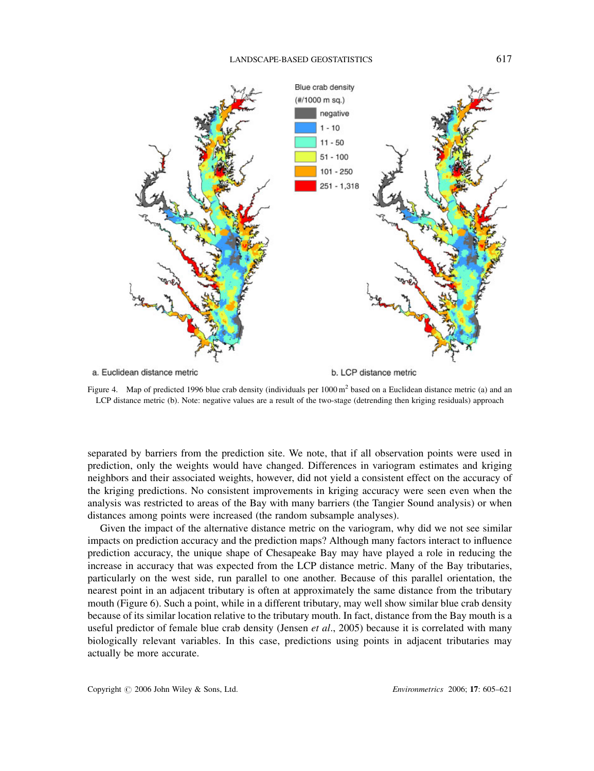

Figure 4. Map of predicted 1996 blue crab density (individuals per  $1000 \text{ m}^2$  based on a Euclidean distance metric (a) and an LCP distance metric (b). Note: negative values are a result of the two-stage (detrending then kriging residuals) approach

separated by barriers from the prediction site. We note, that if all observation points were used in prediction, only the weights would have changed. Differences in variogram estimates and kriging neighbors and their associated weights, however, did not yield a consistent effect on the accuracy of the kriging predictions. No consistent improvements in kriging accuracy were seen even when the analysis was restricted to areas of the Bay with many barriers (the Tangier Sound analysis) or when distances among points were increased (the random subsample analyses).

Given the impact of the alternative distance metric on the variogram, why did we not see similar impacts on prediction accuracy and the prediction maps? Although many factors interact to influence prediction accuracy, the unique shape of Chesapeake Bay may have played a role in reducing the increase in accuracy that was expected from the LCP distance metric. Many of the Bay tributaries, particularly on the west side, run parallel to one another. Because of this parallel orientation, the nearest point in an adjacent tributary is often at approximately the same distance from the tributary mouth (Figure 6). Such a point, while in a different tributary, may well show similar blue crab density because of its similar location relative to the tributary mouth. In fact, distance from the Bay mouth is a useful predictor of female blue crab density (Jensen *et al.*, 2005) because it is correlated with many biologically relevant variables. In this case, predictions using points in adjacent tributaries may actually be more accurate.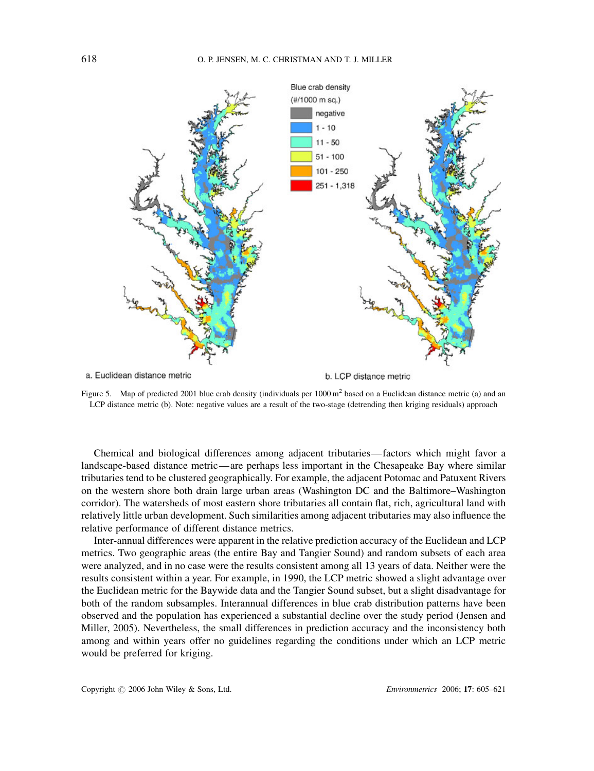

Figure 5. Map of predicted 2001 blue crab density (individuals per  $1000 \text{ m}^2$  based on a Euclidean distance metric (a) and an LCP distance metric (b). Note: negative values are a result of the two-stage (detrending then kriging residuals) approach

Chemical and biological differences among adjacent tributaries— factors which might favor a landscape-based distance metric—are perhaps less important in the Chesapeake Bay where similar tributaries tend to be clustered geographically. For example, the adjacent Potomac and Patuxent Rivers on the western shore both drain large urban areas (Washington DC and the Baltimore–Washington corridor). The watersheds of most eastern shore tributaries all contain flat, rich, agricultural land with relatively little urban development. Such similarities among adjacent tributaries may also influence the relative performance of different distance metrics.

Inter-annual differences were apparent in the relative prediction accuracy of the Euclidean and LCP metrics. Two geographic areas (the entire Bay and Tangier Sound) and random subsets of each area were analyzed, and in no case were the results consistent among all 13 years of data. Neither were the results consistent within a year. For example, in 1990, the LCP metric showed a slight advantage over the Euclidean metric for the Baywide data and the Tangier Sound subset, but a slight disadvantage for both of the random subsamples. Interannual differences in blue crab distribution patterns have been observed and the population has experienced a substantial decline over the study period (Jensen and Miller, 2005). Nevertheless, the small differences in prediction accuracy and the inconsistency both among and within years offer no guidelines regarding the conditions under which an LCP metric would be preferred for kriging.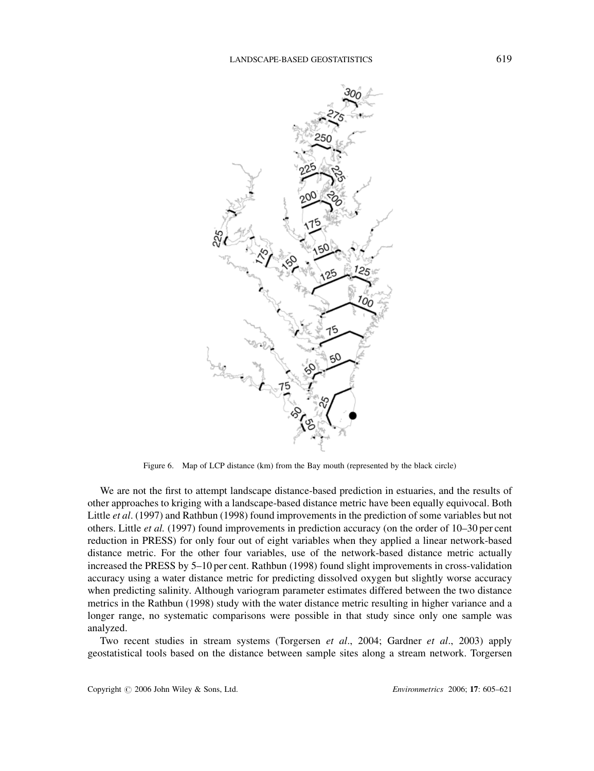

Figure 6. Map of LCP distance (km) from the Bay mouth (represented by the black circle)

We are not the first to attempt landscape distance-based prediction in estuaries, and the results of other approaches to kriging with a landscape-based distance metric have been equally equivocal. Both Little *et al.* (1997) and Rathbun (1998) found improvements in the prediction of some variables but not others. Little et al. (1997) found improvements in prediction accuracy (on the order of 10–30 per cent reduction in PRESS) for only four out of eight variables when they applied a linear network-based distance metric. For the other four variables, use of the network-based distance metric actually increased the PRESS by 5–10 per cent. Rathbun (1998) found slight improvements in cross-validation accuracy using a water distance metric for predicting dissolved oxygen but slightly worse accuracy when predicting salinity. Although variogram parameter estimates differed between the two distance metrics in the Rathbun (1998) study with the water distance metric resulting in higher variance and a longer range, no systematic comparisons were possible in that study since only one sample was analyzed.

Two recent studies in stream systems (Torgersen et al., 2004; Gardner et al., 2003) apply geostatistical tools based on the distance between sample sites along a stream network. Torgersen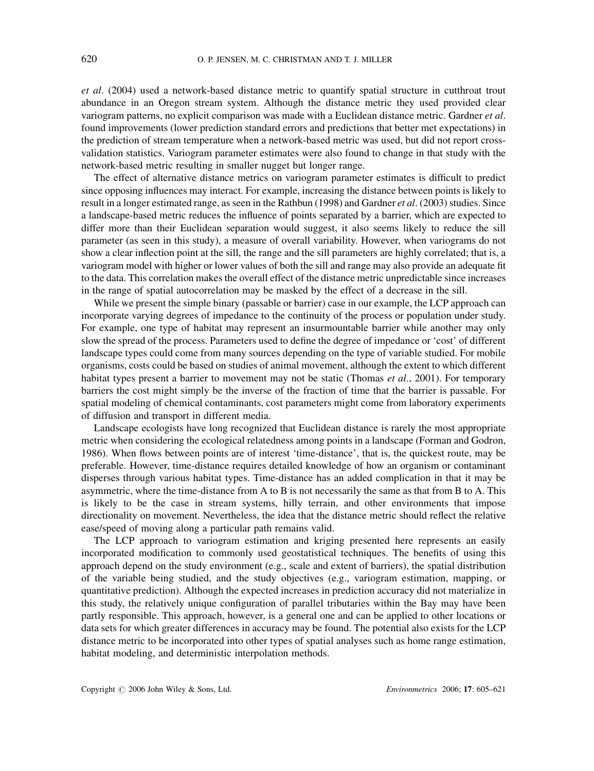et al. (2004) used a network-based distance metric to quantify spatial structure in cutthroat trout abundance in an Oregon stream system. Although the distance metric they used provided clear variogram patterns, no explicit comparison was made with a Euclidean distance metric. Gardner et al. found improvements (lower prediction standard errors and predictions that better met expectations) in the prediction of stream temperature when a network-based metric was used, but did not report crossvalidation statistics. Variogram parameter estimates were also found to change in that study with the network-based metric resulting in smaller nugget but longer range.

The effect of alternative distance metrics on variogram parameter estimates is difficult to predict since opposing influences may interact. For example, increasing the distance between points is likely to result in a longer estimated range, as seen in the Rathbun (1998) and Gardner *et al.* (2003) studies. Since a landscape-based metric reduces the influence of points separated by a barrier, which are expected to differ more than their Euclidean separation would suggest, it also seems likely to reduce the sill parameter (as seen in this study), a measure of overall variability. However, when variograms do not show a clear inflection point at the sill, the range and the sill parameters are highly correlated; that is, a variogram model with higher or lower values of both the sill and range may also provide an adequate fit to the data. This correlation makes the overall effect of the distance metric unpredictable since increases in the range of spatial autocorrelation may be masked by the effect of a decrease in the sill.

While we present the simple binary (passable or barrier) case in our example, the LCP approach can incorporate varying degrees of impedance to the continuity of the process or population under study. For example, one type of habitat may represent an insurmountable barrier while another may only slow the spread of the process. Parameters used to define the degree of impedance or 'cost' of different landscape types could come from many sources depending on the type of variable studied. For mobile organisms, costs could be based on studies of animal movement, although the extent to which different habitat types present a barrier to movement may not be static (Thomas et al., 2001). For temporary barriers the cost might simply be the inverse of the fraction of time that the barrier is passable. For spatial modeling of chemical contaminants, cost parameters might come from laboratory experiments of diffusion and transport in different media.

Landscape ecologists have long recognized that Euclidean distance is rarely the most appropriate metric when considering the ecological relatedness among points in a landscape (Forman and Godron, 1986). When flows between points are of interest 'time-distance', that is, the quickest route, may be preferable. However, time-distance requires detailed knowledge of how an organism or contaminant disperses through various habitat types. Time-distance has an added complication in that it may be asymmetric, where the time-distance from A to B is not necessarily the same as that from B to A. This is likely to be the case in stream systems, hilly terrain, and other environments that impose directionality on movement. Nevertheless, the idea that the distance metric should reflect the relative ease/speed of moving along a particular path remains valid.

The LCP approach to variogram estimation and kriging presented here represents an easily incorporated modification to commonly used geostatistical techniques. The benefits of using this approach depend on the study environment (e.g., scale and extent of barriers), the spatial distribution of the variable being studied, and the study objectives (e.g., variogram estimation, mapping, or quantitative prediction). Although the expected increases in prediction accuracy did not materialize in this study, the relatively unique configuration of parallel tributaries within the Bay may have been partly responsible. This approach, however, is a general one and can be applied to other locations or data sets for which greater differences in accuracy may be found. The potential also exists for the LCP distance metric to be incorporated into other types of spatial analyses such as home range estimation, habitat modeling, and deterministic interpolation methods.